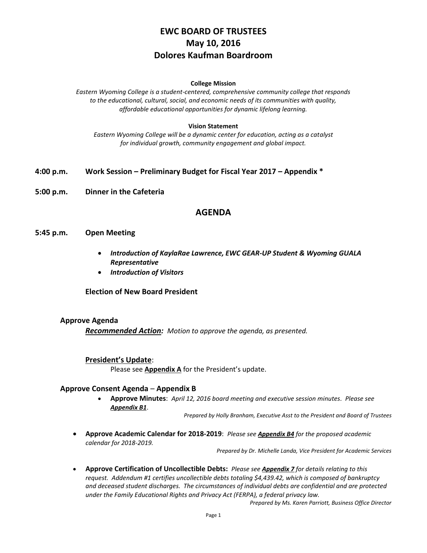# **EWC BOARD OF TRUSTEES May 10, 2016 Dolores Kaufman Boardroom**

#### **College Mission**

*Eastern Wyoming College is a student-centered, comprehensive community college that responds to the educational, cultural, social, and economic needs of its communities with quality, affordable educational opportunities for dynamic lifelong learning.*

#### **Vision Statement**

*Eastern Wyoming College will be a dynamic center for education, acting as a catalyst for individual growth, community engagement and global impact.*

- **4:00 p.m. Work Session – Preliminary Budget for Fiscal Year 2017 – Appendix \***
- **5:00 p.m. Dinner in the Cafeteria**

### **AGENDA**

#### **5:45 p.m. Open Meeting**

- *Introduction of KaylaRae Lawrence, EWC GEAR-UP Student & Wyoming GUALA Representative*
- *Introduction of Visitors*

**Election of New Board President** 

#### **Approve Agenda**

*Recommended Action: Motion to approve the agenda, as presented.*

#### **President's Update**:

Please see **Appendix A** for the President's update.

#### **Approve Consent Agenda** – **Appendix B**

 **Approve Minutes**: *April 12, 2016 board meeting and executive session minutes. Please see Appendix B1*.

*Prepared by Holly Branham, Executive Asst to the President and Board of Trustees*

 **Approve Academic Calendar for 2018-2019**: *Please see Appendix B4 for the proposed academic calendar for 2018-2019.*

*Prepared by Dr. Michelle Landa, Vice President for Academic Services*

 **Approve Certification of Uncollectible Debts:** *Please see Appendix 7 for details relating to this request. Addendum #1 certifies uncollectible debts totaling \$4,439.42, which is composed of bankruptcy and deceased student discharges. The circumstances of individual debts are confidential and are protected under the Family Educational Rights and Privacy Act (FERPA), a federal privacy law.*

*Prepared by Ms. Karen Parriott, Business Office Director*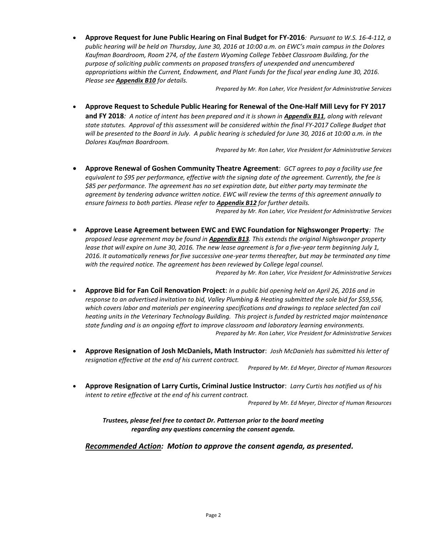**Approve Request for June Public Hearing on Final Budget for FY-2016***: Pursuant to W.S. 16-4-112, a public hearing will be held on Thursday, June 30, 2016 at 10:00 a.m. on EWC's main campus in the Dolores Kaufman Boardroom, Room 274, of the Eastern Wyoming College Tebbet Classroom Building, for the purpose of soliciting public comments on proposed transfers of unexpended and unencumbered appropriations within the Current, Endowment, and Plant Funds for the fiscal year ending June 30, 2016. Please see Appendix B10 for details.*

*Prepared by Mr. Ron Laher, Vice President for Administrative Services*

 **Approve Request to Schedule Public Hearing for Renewal of the One-Half Mill Levy for FY 2017 and FY 2018***: A notice of intent has been prepared and it is shown in Appendix B11, along with relevant state statutes. Approval of this assessment will be considered within the final FY-2017 College Budget that will be presented to the Board in July. A public hearing is scheduled for June 30, 2016 at 10:00 a.m. in the Dolores Kaufman Boardroom.*

*Prepared by Mr. Ron Laher, Vice President for Administrative Services*

- **Approve Renewal of Goshen Community Theatre Agreement**: *GCT agrees to pay a facility use fee equivalent to \$95 per performance, effective with the signing date of the agreement. Currently, the fee is \$85 per performance. The agreement has no set expiration date, but either party may terminate the agreement by tendering advance written notice. EWC will review the terms of this agreement annually to ensure fairness to both parties. Please refer to Appendix B12 for further details. Prepared by Mr. Ron Laher, Vice President for Administrative Services*
- **Approve Lease Agreement between EWC and EWC Foundation for Nighswonger Property***: The proposed lease agreement may be found in Appendix B13. This extends the original Nighswonger property lease that will expire on June 30, 2016. The new lease agreement is for a five-year term beginning July 1, 2016. It automatically renews for five successive one-year terms thereafter, but may be terminated any time with the required notice. The agreement has been reviewed by College legal counsel. Prepared by Mr. Ron Laher, Vice President for Administrative Services*
- **Approve Bid for Fan Coil Renovation Project**: *In a public bid opening held on April 26, 2016 and in response to an advertised invitation to bid, Valley Plumbing & Heating submitted the sole bid for \$59,556, which covers labor and materials per engineering specifications and drawings to replace selected fan coil heating units in the Veterinary Technology Building. This project is funded by restricted major maintenance state funding and is an ongoing effort to improve classroom and laboratory learning environments. Prepared by Mr. Ron Laher, Vice President for Administrative Services*
- **Approve Resignation of Josh McDaniels, Math Instructor**: *Josh McDaniels has submitted his letter of resignation effective at the end of his current contract.*

*Prepared by Mr. Ed Meyer, Director of Human Resources*

 **Approve Resignation of Larry Curtis, Criminal Justice Instructor**: *Larry Curtis has notified us of his intent to retire effective at the end of his current contract.*

*Prepared by Mr. Ed Meyer, Director of Human Resources*

*Trustees, please feel free to contact Dr. Patterson prior to the board meeting regarding any questions concerning the consent agenda.*

*Recommended Action: Motion to approve the consent agenda, as presented.*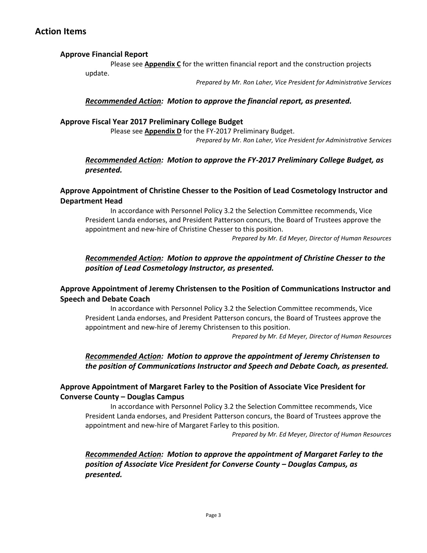## **Action Items**

### **Approve Financial Report**

Please see **Appendix C** for the written financial report and the construction projects update.

*Prepared by Mr. Ron Laher, Vice President for Administrative Services*

### *Recommended Action: Motion to approve the financial report, as presented.*

### **Approve Fiscal Year 2017 Preliminary College Budget**

Please see **Appendix D** for the FY-2017 Preliminary Budget. *Prepared by Mr. Ron Laher, Vice President for Administrative Services*

### *Recommended Action: Motion to approve the FY-2017 Preliminary College Budget, as presented.*

## **Approve Appointment of Christine Chesser to the Position of Lead Cosmetology Instructor and Department Head**

In accordance with Personnel Policy 3.2 the Selection Committee recommends, Vice President Landa endorses, and President Patterson concurs, the Board of Trustees approve the appointment and new-hire of Christine Chesser to this position.

*Prepared by Mr. Ed Meyer, Director of Human Resources*

### *Recommended Action: Motion to approve the appointment of Christine Chesser to the position of Lead Cosmetology Instructor, as presented.*

### **Approve Appointment of Jeremy Christensen to the Position of Communications Instructor and Speech and Debate Coach**

In accordance with Personnel Policy 3.2 the Selection Committee recommends, Vice President Landa endorses, and President Patterson concurs, the Board of Trustees approve the appointment and new-hire of Jeremy Christensen to this position.

*Prepared by Mr. Ed Meyer, Director of Human Resources*

## *Recommended Action: Motion to approve the appointment of Jeremy Christensen to the position of Communications Instructor and Speech and Debate Coach, as presented.*

### **Approve Appointment of Margaret Farley to the Position of Associate Vice President for Converse County – Douglas Campus**

In accordance with Personnel Policy 3.2 the Selection Committee recommends, Vice President Landa endorses, and President Patterson concurs, the Board of Trustees approve the appointment and new-hire of Margaret Farley to this position.

*Prepared by Mr. Ed Meyer, Director of Human Resources*

## *Recommended Action: Motion to approve the appointment of Margaret Farley to the position of Associate Vice President for Converse County – Douglas Campus, as presented.*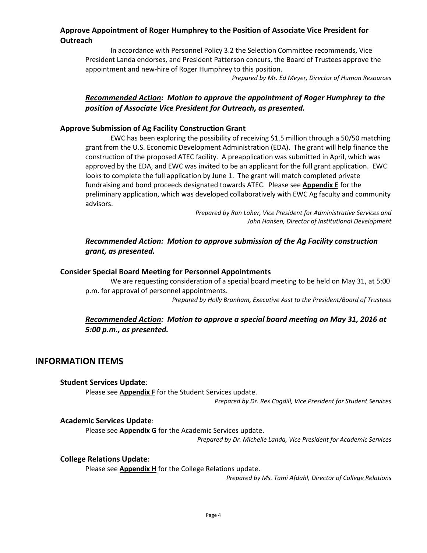## **Approve Appointment of Roger Humphrey to the Position of Associate Vice President for Outreach**

In accordance with Personnel Policy 3.2 the Selection Committee recommends, Vice President Landa endorses, and President Patterson concurs, the Board of Trustees approve the appointment and new-hire of Roger Humphrey to this position.

*Prepared by Mr. Ed Meyer, Director of Human Resources*

## *Recommended Action: Motion to approve the appointment of Roger Humphrey to the position of Associate Vice President for Outreach, as presented.*

### **Approve Submission of Ag Facility Construction Grant**

EWC has been exploring the possibility of receiving \$1.5 million through a 50/50 matching grant from the U.S. Economic Development Administration (EDA). The grant will help finance the construction of the proposed ATEC facility. A preapplication was submitted in April, which was approved by the EDA, and EWC was invited to be an applicant for the full grant application. EWC looks to complete the full application by June 1. The grant will match completed private fundraising and bond proceeds designated towards ATEC. Please see **Appendix E** for the preliminary application, which was developed collaboratively with EWC Ag faculty and community advisors.

> *Prepared by Ron Laher, Vice President for Administrative Services and John Hansen, Director of Institutional Development*

### *Recommended Action: Motion to approve submission of the Ag Facility construction grant, as presented.*

#### **Consider Special Board Meeting for Personnel Appointments**

We are requesting consideration of a special board meeting to be held on May 31, at 5:00 p.m. for approval of personnel appointments.

*Prepared by Holly Branham, Executive Asst to the President/Board of Trustees*

### *Recommended Action: Motion to approve a special board meeting on May 31, 2016 at 5:00 p.m., as presented.*

## **INFORMATION ITEMS**

#### **Student Services Update**:

Please see **Appendix F** for the Student Services update. *Prepared by Dr. Rex Cogdill, Vice President for Student Services*

#### **Academic Services Update**:

Please see **Appendix G** for the Academic Services update.

*Prepared by Dr. Michelle Landa, Vice President for Academic Services*

#### **College Relations Update**:

Please see **Appendix H** for the College Relations update.

*Prepared by Ms. Tami Afdahl, Director of College Relations*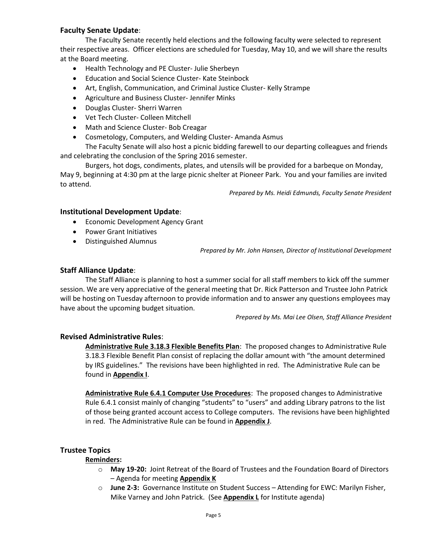### **Faculty Senate Update**:

The Faculty Senate recently held elections and the following faculty were selected to represent their respective areas. Officer elections are scheduled for Tuesday, May 10, and we will share the results at the Board meeting.

- Health Technology and PE Cluster- Julie Sherbeyn
- Education and Social Science Cluster- Kate Steinbock
- Art, English, Communication, and Criminal Justice Cluster- Kelly Strampe
- Agriculture and Business Cluster- Jennifer Minks
- Douglas Cluster- Sherri Warren
- Vet Tech Cluster- Colleen Mitchell
- Math and Science Cluster- Bob Creagar
- Cosmetology, Computers, and Welding Cluster- Amanda Asmus

The Faculty Senate will also host a picnic bidding farewell to our departing colleagues and friends and celebrating the conclusion of the Spring 2016 semester.

Burgers, hot dogs, condiments, plates, and utensils will be provided for a barbeque on Monday, May 9, beginning at 4:30 pm at the large picnic shelter at Pioneer Park. You and your families are invited to attend.

*Prepared by Ms. Heidi Edmunds, Faculty Senate President*

#### **Institutional Development Update**:

- **•** Economic Development Agency Grant
- Power Grant Initiatives
- Distinguished Alumnus

*Prepared by Mr. John Hansen, Director of Institutional Development*

### **Staff Alliance Update**:

The Staff Alliance is planning to host a summer social for all staff members to kick off the summer session. We are very appreciative of the general meeting that Dr. Rick Patterson and Trustee John Patrick will be hosting on Tuesday afternoon to provide information and to answer any questions employees may have about the upcoming budget situation.

*Prepared by Ms. Mai Lee Olsen, Staff Alliance President*

#### **Revised Administrative Rules**:

**Administrative Rule 3.18.3 Flexible Benefits Plan**: The proposed changes to Administrative Rule 3.18.3 Flexible Benefit Plan consist of replacing the dollar amount with "the amount determined by IRS guidelines." The revisions have been highlighted in red. The Administrative Rule can be found in **Appendix I**.

**Administrative Rule 6.4.1 Computer Use Procedures**: The proposed changes to Administrative Rule 6.4.1 consist mainly of changing "students" to "users" and adding Library patrons to the list of those being granted account access to College computers. The revisions have been highlighted in red. The Administrative Rule can be found in **Appendix J**.

#### **Trustee Topics**

#### **Reminders:**

- o **May 19-20:** Joint Retreat of the Board of Trustees and the Foundation Board of Directors – Agenda for meeting **Appendix K**
- o **June 2-3:** Governance Institute on Student Success Attending for EWC: Marilyn Fisher, Mike Varney and John Patrick. (See **Appendix L** for Institute agenda)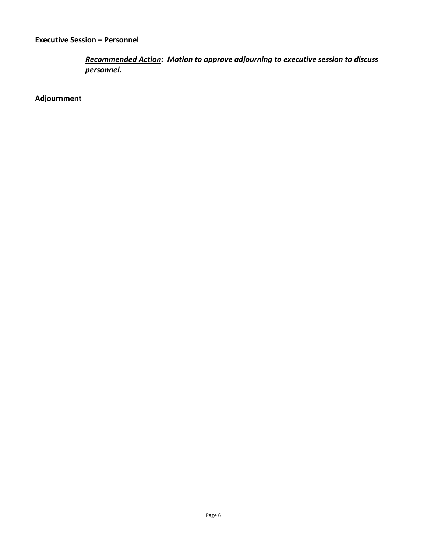*Recommended Action: Motion to approve adjourning to executive session to discuss personnel.*

**Adjournment**